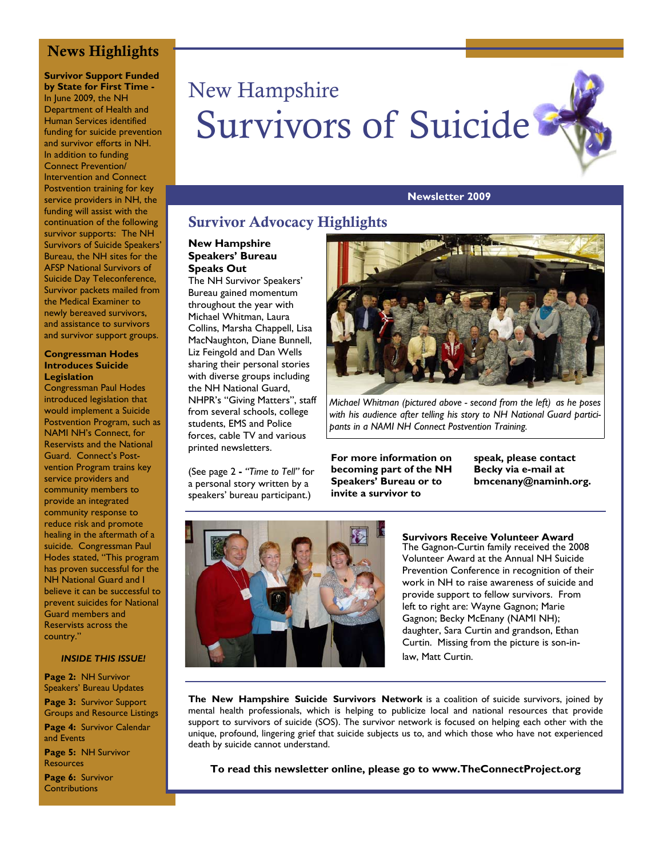# **News Highlights**

**Survivor Support Funded by State for First Time -**  In June 2009, the NH Department of Health and Human Services identified funding for suicide prevention and survivor efforts in NH. In addition to funding Connect Prevention/ Intervention and Connect Postvention training for key service providers in NH, the funding will assist with the continuation of the following survivor supports: The NH Survivors of Suicide Speakers' Bureau, the NH sites for the AFSP National Survivors of Suicide Day Teleconference, Survivor packets mailed from the Medical Examiner to newly bereaved survivors, and assistance to survivors and survivor support groups.

#### **Congressman Hodes Introduces Suicide Legislation**

Congressman Paul Hodes introduced legislation that would implement a Suicide Postvention Program, such as NAMI NH's Connect, for Reservists and the National Guard. Connect's Postvention Program trains key service providers and community members to provide an integrated community response to reduce risk and promote healing in the aftermath of a suicide. Congressman Paul Hodes stated, "This program has proven successful for the NH National Guard and I believe it can be successful to prevent suicides for National Guard members and Reservists across the country."

#### *INSIDE THIS ISSUE!*

**Page 2:** NH Survivor Speakers' Bureau Updates **Page 3:** Survivor Support Groups and Resource Listings

**Page 4:** Survivor Calendar and Events

**Page 5:** NH Survivor **Resources** 

**Page 6:** Survivor **Contributions** 

# New Hampshire Survivors of Suicide

#### **Newsletter 2009**

# **Survivor Advocacy Highlights**

#### **New Hampshire Speakers' Bureau Speaks Out**

The NH Survivor Speakers' Bureau gained momentum throughout the year with Michael Whitman, Laura Collins, Marsha Chappell, Lisa MacNaughton, Diane Bunnell, Liz Feingold and Dan Wells sharing their personal stories with diverse groups including the NH National Guard, NHPR's "Giving Matters", staff from several schools, college students, EMS and Police forces, cable TV and various printed newsletters.

(See page 2 **-** *"Time to Tell"* for a personal story written by a speakers' bureau participant.)



*Michael Whitman (pictured above - second from the left) as he poses with his audience after telling his story to NH National Guard participants in a NAMI NH Connect Postvention Training.* 

**For more information on becoming part of the NH Speakers' Bureau or to invite a survivor to** 

**speak, please contact Becky via e-mail at bmcenany@naminh.org.**



**Survivors Receive Volunteer Award**  The Gagnon-Curtin family received the 2008 Volunteer Award at the Annual NH Suicide Prevention Conference in recognition of their work in NH to raise awareness of suicide and provide support to fellow survivors. From left to right are: Wayne Gagnon; Marie Gagnon; Becky McEnany (NAMI NH); daughter, Sara Curtin and grandson, Ethan Curtin. Missing from the picture is son-inlaw, Matt Curtin.

**The New Hampshire Suicide Survivors Network** is a coalition of suicide survivors, joined by mental health professionals, which is helping to publicize local and national resources that provide support to survivors of suicide (SOS). The survivor network is focused on helping each other with the unique, profound, lingering grief that suicide subjects us to, and which those who have not experienced death by suicide cannot understand.

**To read this newsletter online, please go to www.TheConnectProject.org**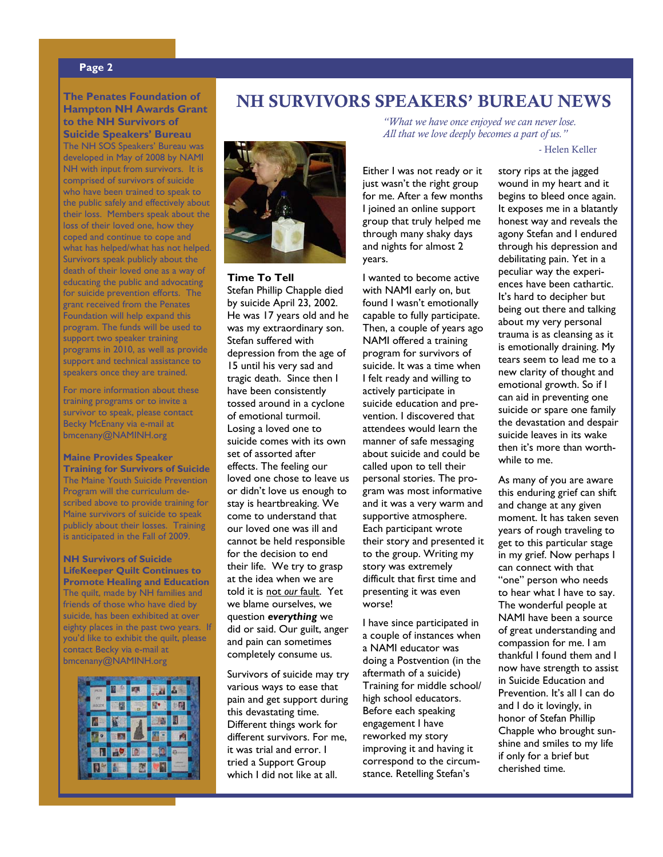#### **Page 2**

#### **The Penates Foundation of Hampton NH Awards Grant to the NH Survivors of Suicide Speakers' Bureau**

The NH SOS Speakers' Bureau was developed in May of 2008 by NAMI NH with input from survivors. It is comprised of survivors of suicide who have been trained to speak to the public safely and effectively about their loss. Members speak about the loss of their loved one, how they coped and continue to cope and what has helped/what has not helped. Survivors speak publicly about the death of their loved one as a way of educating the public and advocating for suicide prevention efforts. The grant received from the Penates Foundation will help expand this program. The funds will be used to support two speaker training programs in 2010, as well as provide support and technical assistance to speakers once they are trained.

For more information about these training programs or to invite a survivor to speak, please contact Becky McEnany via e-mail at bmcenany@NAMINH.org

#### **Maine Provides Speaker Training for Survivors of Suicide**  The Maine Youth Suicide Prevention Program will the curriculum de-

scribed above to provide training for Maine survivors of suicide to speak publicly about their losses. Training is anticipated in the Fall of 2009.

**NH Survivors of Suicide LifeKeeper Quilt Continues to Promote Healing and Education**  The quilt, made by NH families and friends of those who have died by suicide, has been exhibited at over eighty places in the past two years. If you'd like to exhibit the quilt, please contact Becky via e-mail at bmcenany@NAMINH.org



# **NH SURVIVORS SPEAKERS' BUREAU NEWS**



**Time To Tell**  Stefan Phillip Chapple died by suicide April 23, 2002. He was 17 years old and he was my extraordinary son. Stefan suffered with depression from the age of 15 until his very sad and tragic death. Since then I have been consistently tossed around in a cyclone of emotional turmoil. Losing a loved one to suicide comes with its own set of assorted after effects. The feeling our loved one chose to leave us or didn't love us enough to stay is heartbreaking. We come to understand that our loved one was ill and cannot be held responsible for the decision to end their life. We try to grasp at the idea when we are told it is not *our* fault. Yet we blame ourselves, we question *everything* we did or said. Our guilt, anger and pain can sometimes completely consume us.

Survivors of suicide may try various ways to ease that pain and get support during this devastating time. Different things work for different survivors. For me, it was trial and error. I tried a Support Group which I did not like at all.

*"What we have once enjoyed we can never lose. All that we love deeply becomes a part of us."* 

- Helen Keller

Either I was not ready or it just wasn't the right group for me. After a few months I joined an online support group that truly helped me through many shaky days and nights for almost 2 years.

I wanted to become active with NAMI early on, but found I wasn't emotionally capable to fully participate. Then, a couple of years ago NAMI offered a training program for survivors of suicide. It was a time when I felt ready and willing to actively participate in suicide education and prevention. I discovered that attendees would learn the manner of safe messaging about suicide and could be called upon to tell their personal stories. The program was most informative and it was a very warm and supportive atmosphere. Each participant wrote their story and presented it to the group. Writing my story was extremely difficult that first time and presenting it was even worse!

I have since participated in a couple of instances when a NAMI educator was doing a Postvention (in the aftermath of a suicide) Training for middle school/ high school educators. Before each speaking engagement I have reworked my story improving it and having it correspond to the circumstance. Retelling Stefan's

story rips at the jagged wound in my heart and it begins to bleed once again. It exposes me in a blatantly honest way and reveals the agony Stefan and I endured through his depression and debilitating pain. Yet in a peculiar way the experiences have been cathartic. It's hard to decipher but being out there and talking about my very personal trauma is as cleansing as it is emotionally draining. My tears seem to lead me to a new clarity of thought and emotional growth. So if I can aid in preventing one suicide or spare one family the devastation and despair suicide leaves in its wake then it's more than worthwhile to me.

As many of you are aware this enduring grief can shift and change at any given moment. It has taken seven years of rough traveling to get to this particular stage in my grief. Now perhaps I can connect with that "one" person who needs to hear what I have to say. The wonderful people at NAMI have been a source of great understanding and compassion for me. I am thankful I found them and I now have strength to assist in Suicide Education and Prevention. It's all I can do and I do it lovingly, in honor of Stefan Phillip Chapple who brought sunshine and smiles to my life if only for a brief but cherished time.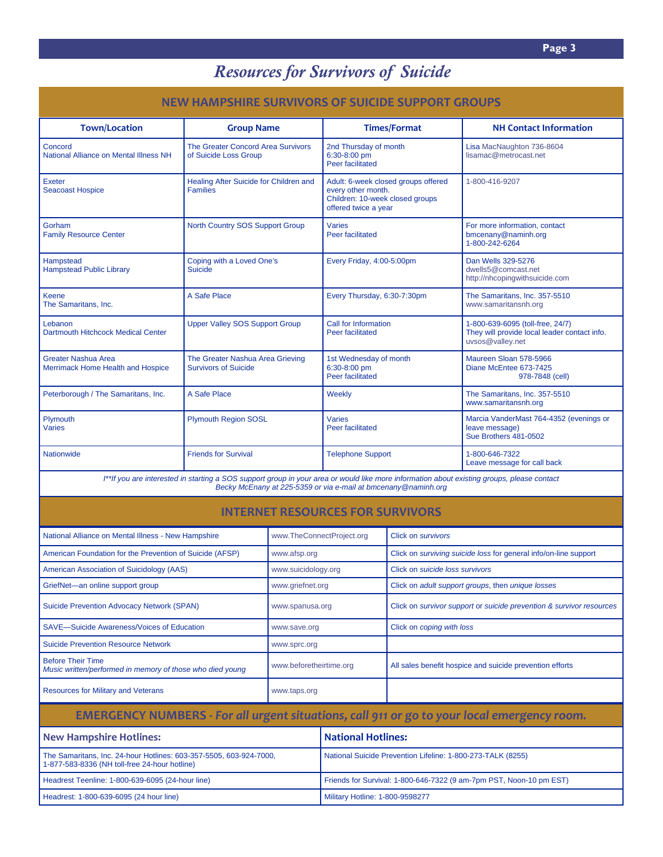# *Resources for Survivors of Suicide*

| NEW HAMPSHIRE SURVIVORS OF SUICIDE SUPPORT GROUPS                                                                                                                                                             |                                                                 |                                 |                                                                                                                      |                                                                      |                                                                                                      |
|---------------------------------------------------------------------------------------------------------------------------------------------------------------------------------------------------------------|-----------------------------------------------------------------|---------------------------------|----------------------------------------------------------------------------------------------------------------------|----------------------------------------------------------------------|------------------------------------------------------------------------------------------------------|
| <b>Town/Location</b>                                                                                                                                                                                          | <b>Group Name</b>                                               |                                 |                                                                                                                      | <b>Times/Format</b>                                                  | <b>NH Contact Information</b>                                                                        |
| Concord<br>National Alliance on Mental Illness NH                                                                                                                                                             | The Greater Concord Area Survivors<br>of Suicide Loss Group     |                                 | 2nd Thursday of month<br>6:30-8:00 pm<br>Peer facilitated                                                            |                                                                      | Lisa MacNaughton 736-8604<br>lisamac@metrocast.net                                                   |
| Exeter<br><b>Seacoast Hospice</b>                                                                                                                                                                             | Healing After Suicide for Children and<br><b>Families</b>       |                                 | Adult: 6-week closed groups offered<br>every other month.<br>Children: 10-week closed groups<br>offered twice a year |                                                                      | 1-800-416-9207                                                                                       |
| Gorham<br><b>Family Resource Center</b>                                                                                                                                                                       | North Country SOS Support Group                                 |                                 | <b>Varies</b><br>Peer facilitated                                                                                    |                                                                      | For more information, contact<br>bmcenany@naminh.org<br>1-800-242-6264                               |
| Hampstead<br><b>Hampstead Public Library</b>                                                                                                                                                                  | Coping with a Loved One's<br><b>Suicide</b>                     |                                 | Every Friday, 4:00-5:00pm                                                                                            |                                                                      | Dan Wells 329-5276<br>dwells5@comcast.net<br>http://nhcopingwithsuicide.com                          |
| Keene<br>The Samaritans, Inc.                                                                                                                                                                                 | A Safe Place                                                    |                                 | Every Thursday, 6:30-7:30pm                                                                                          |                                                                      | The Samaritans, Inc. 357-5510<br>www.samaritansnh.org                                                |
| Lebanon<br>Dartmouth Hitchcock Medical Center                                                                                                                                                                 | <b>Upper Valley SOS Support Group</b>                           |                                 | Call for Information<br>Peer facilitated                                                                             |                                                                      | 1-800-639-6095 (toll-free, 24/7)<br>They will provide local leader contact info.<br>uvsos@valley.net |
| <b>Greater Nashua Area</b><br>Merrimack Home Health and Hospice                                                                                                                                               | The Greater Nashua Area Grieving<br><b>Survivors of Suicide</b> |                                 | 1st Wednesday of month<br>6:30-8:00 pm<br>Peer facilitated                                                           |                                                                      | Maureen Sloan 578-5966<br>Diane McEntee 673-7425<br>978-7848 (cell)                                  |
| Peterborough / The Samaritans, Inc.                                                                                                                                                                           | A Safe Place                                                    |                                 | Weekly                                                                                                               |                                                                      | The Samaritans, Inc. 357-5510<br>www.samaritansnh.org                                                |
| Plymouth<br><b>Varies</b>                                                                                                                                                                                     | <b>Plymouth Region SOSL</b>                                     |                                 | <b>Varies</b><br><b>Peer facilitated</b>                                                                             |                                                                      | Marcia VanderMast 764-4352 (evenings or<br>leave message)<br>Sue Brothers 481-0502                   |
| Nationwide                                                                                                                                                                                                    | <b>Friends for Survival</b>                                     |                                 | <b>Telephone Support</b>                                                                                             |                                                                      | 1-800-646-7322<br>Leave message for call back                                                        |
| I**If you are interested in starting a SOS support group in your area or would like more information about existing groups, please contact<br>Becky McEnany at 225-5359 or via e-mail at bmcenany @naminh.org |                                                                 |                                 |                                                                                                                      |                                                                      |                                                                                                      |
| <b>INTERNET RESOURCES FOR SURVIVORS</b>                                                                                                                                                                       |                                                                 |                                 |                                                                                                                      |                                                                      |                                                                                                      |
| National Alliance on Mental Illness - New Hampshire                                                                                                                                                           |                                                                 | www.TheConnectProject.org       |                                                                                                                      | Click on survivors                                                   |                                                                                                      |
| American Foundation for the Prevention of Suicide (AFSP)                                                                                                                                                      |                                                                 | www.afsp.org                    |                                                                                                                      | Click on surviving suicide loss for general info/on-line support     |                                                                                                      |
| American Association of Suicidology (AAS)                                                                                                                                                                     |                                                                 | www.suicidology.org             |                                                                                                                      | Click on suicide loss survivors                                      |                                                                                                      |
| GriefNet-an online support group                                                                                                                                                                              |                                                                 | www.griefnet.org                |                                                                                                                      | Click on adult support groups, then unique losses                    |                                                                                                      |
| <b>Suicide Prevention Advocacy Network (SPAN)</b>                                                                                                                                                             |                                                                 | www.spanusa.org                 |                                                                                                                      | Click on survivor support or suicide prevention & survivor resources |                                                                                                      |
| SAVE-Suicide Awareness/Voices of Education                                                                                                                                                                    |                                                                 | www.save.org                    |                                                                                                                      | Click on coping with loss                                            |                                                                                                      |
| <b>Suicide Prevention Resource Network</b>                                                                                                                                                                    |                                                                 | www.sprc.org                    |                                                                                                                      |                                                                      |                                                                                                      |
| <b>Before Their Time</b><br>Music written/performed in memory of those who died young                                                                                                                         |                                                                 | www.beforetheirtime.org         |                                                                                                                      | All sales benefit hospice and suicide prevention efforts             |                                                                                                      |
| <b>Resources for Military and Veterans</b>                                                                                                                                                                    |                                                                 | www.taps.org                    |                                                                                                                      |                                                                      |                                                                                                      |
| EMERGENCY NUMBERS - For all urgent situations, call 911 or go to your local emergency room.                                                                                                                   |                                                                 |                                 |                                                                                                                      |                                                                      |                                                                                                      |
| <b>New Hampshire Hotlines:</b>                                                                                                                                                                                |                                                                 |                                 | <b>National Hotlines:</b>                                                                                            |                                                                      |                                                                                                      |
| The Samaritans, Inc. 24-hour Hotlines: 603-357-5505, 603-924-7000,<br>1-877-583-8336 (NH toll-free 24-hour hotline)                                                                                           |                                                                 |                                 | National Suicide Prevention Lifeline: 1-800-273-TALK (8255)                                                          |                                                                      |                                                                                                      |
| Headrest Teenline: 1-800-639-6095 (24-hour line)                                                                                                                                                              |                                                                 |                                 | Friends for Survival: 1-800-646-7322 (9 am-7pm PST, Noon-10 pm EST)                                                  |                                                                      |                                                                                                      |
| Headrest: 1-800-639-6095 (24 hour line)                                                                                                                                                                       |                                                                 | Military Hotline: 1-800-9598277 |                                                                                                                      |                                                                      |                                                                                                      |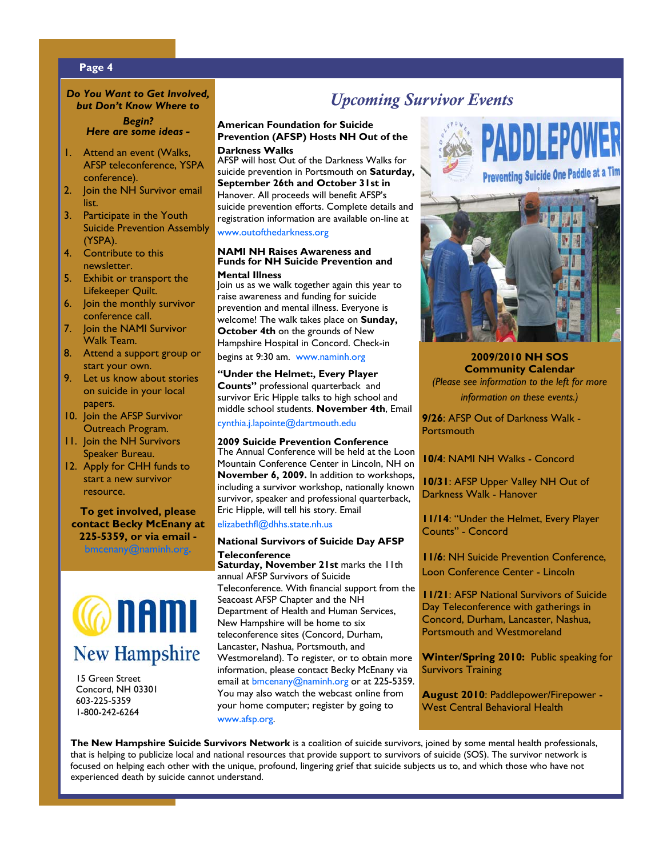#### **Page 4**

#### *Do You Want to Get Involved, but Don't Know Where to*

*Begin? Here are some ideas -* 

- 1. Attend an event (Walks, AFSP teleconference, YSPA conference).
- 2. Join the NH Survivor email list.
- 3. Participate in the Youth Suicide Prevention Assembly (YSPA).
- 4. Contribute to this newsletter.
- 5. Exhibit or transport the Lifekeeper Quilt.
- 6. Join the monthly survivor conference call.
- 7. Join the NAMI Survivor Walk Team.
- 8. Attend a support group or start your own.
- 9. Let us know about stories on suicide in your local papers.
- 10. Join the AFSP Survivor Outreach Program.
- 11. Join the NH Survivors Speaker Bureau.
- 12. Apply for CHH funds to start a new survivor resource.

**To get involved, please contact Becky McEnany at 225-5359, or via email -** 

bmcenany@naminh.org**.**



 15 Green Street Concord, NH 03301 603-225-5359 1-800-242-6264

# *Upcoming Survivor Events*

#### **American Foundation for Suicide Prevention (AFSP) Hosts NH Out of the Darkness Walks**

AFSP will host Out of the Darkness Walks for suicide prevention in Portsmouth on **Saturday, September 26th and October 31st in**  Hanover. All proceeds will benefit AFSP's suicide prevention efforts. Complete details and registration information are available on-line at www.outofthedarkness.org

#### **NAMI NH Raises Awareness and Funds for NH Suicide Prevention and Mental Illness**

Join us as we walk together again this year to raise awareness and funding for suicide prevention and mental illness. Everyone is welcome! The walk takes place on **Sunday, October 4th** on the grounds of New Hampshire Hospital in Concord. Check-in begins at 9:30 am. www.naminh.org

#### **"Under the Helmet:, Every Player**

**Counts"** professional quarterback and survivor Eric Hipple talks to high school and middle school students. **November 4th**, Email cynthia.j.lapointe@dartmouth.edu

#### **2009 Suicide Prevention Conference**

The Annual Conference will be held at the Loon Mountain Conference Center in Lincoln, NH on **November 6, 2009.** In addition to workshops, including a survivor workshop, nationally known survivor, speaker and professional quarterback, Eric Hipple, will tell his story. Email

#### elizabethfl@dhhs.state.nh.us

#### **National Survivors of Suicide Day AFSP Teleconference**

**Saturday, November 21st** marks the 11th annual AFSP Survivors of Suicide Teleconference. With financial support from the Seacoast AFSP Chapter and the NH Department of Health and Human Services, New Hampshire will be home to six teleconference sites (Concord, Durham, Lancaster, Nashua, Portsmouth, and Westmoreland). To register, or to obtain more information, please contact Becky McEnany via email at bmcenany@naminh.org or at 225-5359. You may also watch the webcast online from your home computer; register by going to www.afsp.org.





**2009/2010 NH SOS Community Calendar**  *(Please see information to the left for more information on these events.)* 

**9/26**: AFSP Out of Darkness Walk - **Portsmouth** 

**10/4**: NAMI NH Walks - Concord

**10/31**: AFSP Upper Valley NH Out of Darkness Walk - Hanover

**11/14**: "Under the Helmet, Every Player Counts" - Concord

**11/6**: NH Suicide Prevention Conference, Loon Conference Center - Lincoln

**11/21**: AFSP National Survivors of Suicide Day Teleconference with gatherings in Concord, Durham, Lancaster, Nashua, Portsmouth and Westmoreland

**Winter/Spring 2010:** Public speaking for Survivors Training

**August 2010**: Paddlepower/Firepower - West Central Behavioral Health

**The New Hampshire Suicide Survivors Network** is a coalition of suicide survivors, joined by some mental health professionals, that is helping to publicize local and national resources that provide support to survivors of suicide (SOS). The survivor network is focused on helping each other with the unique, profound, lingering grief that suicide subjects us to, and which those who have not experienced death by suicide cannot understand.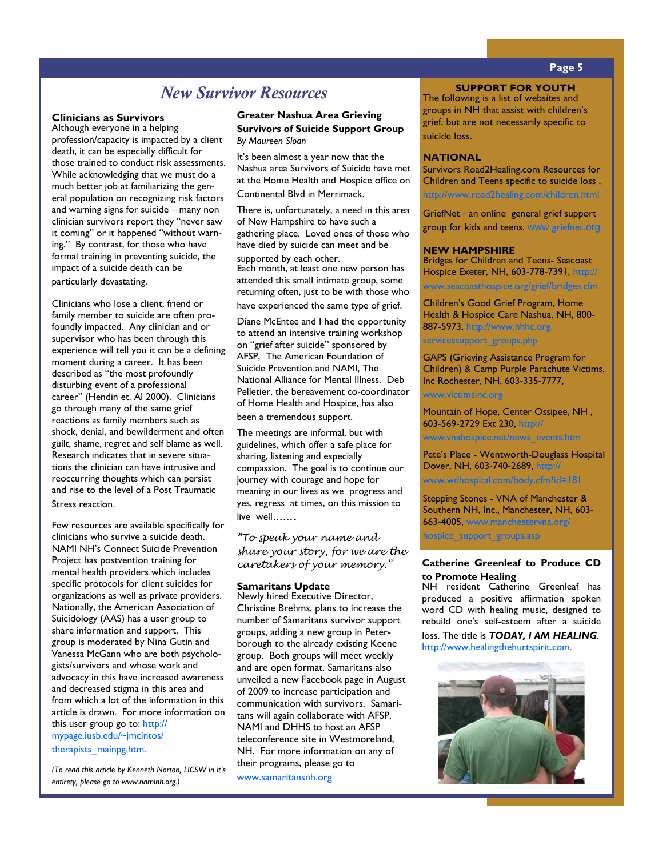# *New Survivor Resources*

#### **Clinicians as Survivors**

Although everyone in a helping profession/capacity is impacted by a client death, it can be especially difficult for those trained to conduct risk assessments. While acknowledging that we must do a much better job at familiarizing the general population on recognizing risk factors and warning signs for suicide – many non clinician survivors report they "never saw it coming" or it happened "without warning." By contrast, for those who have formal training in preventing suicide, the impact of a suicide death can be particularly devastating.

Clinicians who lose a client, friend or family member to suicide are often profoundly impacted. Any clinician and or supervisor who has been through this experience will tell you it can be a defining moment during a career. It has been described as "the most profoundly disturbing event of a professional career" (Hendin et. Al 2000). Clinicians go through many of the same grief reactions as family members such as shock, denial, and bewilderment and often guilt, shame, regret and self blame as well. Research indicates that in severe situations the clinician can have intrusive and reoccurring thoughts which can persist and rise to the level of a Post Traumatic Stress reaction.

Few resources are available specifically for clinicians who survive a suicide death. NAMI NH's Connect Suicide Prevention Project has postvention training for mental health providers which includes specific protocols for client suicides for organizations as well as private providers. Nationally, the American Association of Suicidology (AAS) has a user group to share information and support. This group is moderated by Nina Gutin and Vanessa McGann who are both psychologists/survivors and whose work and advocacy in this have increased awareness and decreased stigma in this area and from which a lot of the information in this article is drawn. For more information on this user group go to: http:// mypage.iusb.edu/~jmcintos/ therapists\_mainpg.htm.

*(To read this article by Kenneth Norton, LICSW in it's entirety, please go to www.naminh.org.)* 

## **Greater Nashua Area Grieving Survivors of Suicide Support Group**

*By Maureen Sloan*

It's been almost a year now that the Nashua area Survivors of Suicide have met at the Home Health and Hospice office on Continental Blvd in Merrimack.

 There is, unfortunately, a need in this area of New Hampshire to have such a gathering place. Loved ones of those who have died by suicide can meet and be

supported by each other. Each month, at least one new person has attended this small intimate group, some returning often, just to be with those who have experienced the same type of grief.

 Diane McEntee and I had the opportunity to attend an intensive training workshop on "grief after suicide" sponsored by AFSP, The American Foundation of Suicide Prevention and NAMI, The National Alliance for Mental Illness. Deb Pelletier, the bereavement co-coordinator of Home Health and Hospice, has also been a tremendous support.

 The meetings are informal, but with guidelines, which offer a safe place for sharing, listening and especially compassion. The goal is to continue our journey with courage and hope for meaning in our lives as we progress and yes, regress at times, on this mission to live well…….

"To speak your name and share your story, for we are the caretakers of your memory."

#### **Samaritans Update**

Newly hired Executive Director, Christine Brehms, plans to increase the number of Samaritans survivor support groups, adding a new group in Peterborough to the already existing Keene group. Both groups will meet weekly and are open format. Samaritans also unveiled a new Facebook page in August of 2009 to increase participation and communication with survivors. Samaritans will again collaborate with AFSP, NAMI and DHHS to host an AFSP teleconference site in Westmoreland, NH. For more information on any of their programs, please go to

www.samaritansnh.org

# **Page 5**

**SUPPORT FOR YOUTH** 

The following is a list of websites and groups in NH that assist with children's grief, but are not necessarily specific to suicide loss.

#### **NATIONAL**

Survivors Road2Healing.com Resources for Children and Teens specific to suicide loss , http://www.road2healing.com/children.html

GriefNet - an online general grief support group for kids and teens. www.griefnet.org

#### **NEW HAMPSHIRE**

Bridges for Children and Teens- Seacoast Hospice Exeter, NH, 603-778-7391, http:// www.seacoasthospice.org/grief/bridges.cfm

Children's Good Grief Program, Home Health & Hospice Care Nashua, NH, 800- 887-5973, http://www.hhhc.org.

servicessupport\_groups.php

GAPS (Grieving Assistance Program for Children) & Camp Purple Parachute Victims, Inc Rochester, NH, 603-335-7777,

#### www.victimsinc.org

Mountain of Hope, Center Ossipee, NH , 603-569-2729 Ext 230, http://

www.vnahospice.net/news\_events.htm

Pete's Place - Wentworth-Douglass Hospital Dover, NH, 603-740-2689, http://

www.wdhospital.com/body.cfm?id=181

Stepping Stones - VNA of Manchester & Southern NH, Inc., Manchester, NH, 603- 663-4005, www.manchestervna.org/

hospice\_support\_groups.asp

#### **Catherine Greenleaf to Produce CD to Promote Healing**

NH resident Catherine Greenleaf has produced a positive affirmation spoken word CD with healing music, designed to rebuild one's self-esteem after a suicide loss. The title is *TODAY, I AM HEALING*. http://www.healingthehurtspirit.com.